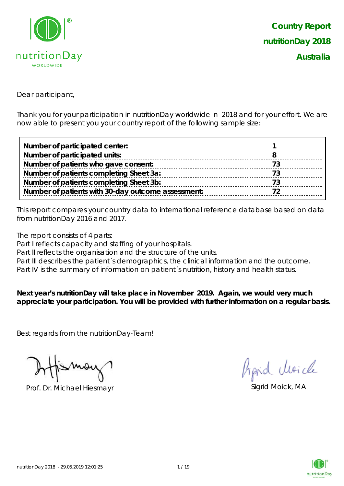

Dear participant,

Thank you for your participation in nutritionDay worldwide in 2018 and for your effort. We are now able to present you your country report of the following sample size:

| Number of participated center:                     |  |
|----------------------------------------------------|--|
| Number of participated units:                      |  |
| Number of patients who gave consent:               |  |
| Number of patients completing Sheet 3a:            |  |
| Number of patients completing Sheet 3b:            |  |
| Number of patients with 30-day outcome assessment: |  |

This report compares your country data to international reference database based on data from nutritionDay 2016 and 2017.

The report consists of 4 parts:

Part I reflects capacity and staffing of your hospitals.

Part II reflects the organisation and the structure of the units.

Part III describes the patient's demographics, the clinical information and the outcome.

Part IV is the summary of information on patient's nutrition, history and health status.

**Next year's nutritionDay will take place in November 2019. Again, we would very much appreciate your participation. You will be provided with further information on a regular basis.**

Best regards from the nutritionDay-Team!

Prof. Dr. Michael Hiesmayr Sigrid Moick, MA

hard cluricle

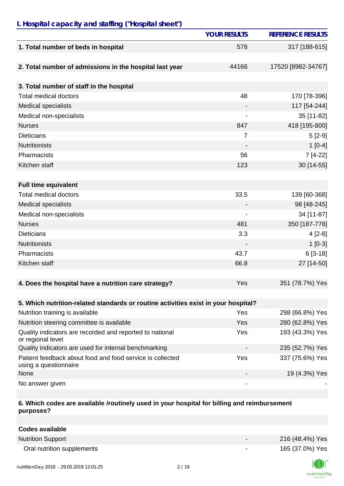### *I. Hospital capacity and staffing ("Hospital sheet")*

|                                                                                    | <b>YOUR RESULTS</b>      | <b>REFERENCE RESULTS</b> |
|------------------------------------------------------------------------------------|--------------------------|--------------------------|
| 1. Total number of beds in hospital                                                | 578                      | 317 [188-615]            |
| 2. Total number of admissions in the hospital last year                            | 44166                    | 17520 [8982-34767]       |
| 3. Total number of staff in the hospital                                           |                          |                          |
| <b>Total medical doctors</b>                                                       | 48                       | 170 [78-396]             |
| <b>Medical specialists</b>                                                         |                          | 117 [54-244]             |
| Medical non-specialists                                                            | $\overline{\phantom{a}}$ | 35 [11-82]               |
| <b>Nurses</b>                                                                      | 847                      | 418 [195-800]            |
| <b>Dieticians</b>                                                                  | $\overline{7}$           | $5[2-9]$                 |
| <b>Nutritionists</b>                                                               |                          | $1[0-4]$                 |
| Pharmacists                                                                        | 56                       | 7 [4-22]                 |
| Kitchen staff                                                                      | 123                      | 30 [14-55]               |
|                                                                                    |                          |                          |
| <b>Full time equivalent</b>                                                        |                          |                          |
| <b>Total medical doctors</b>                                                       | 33.5                     | 139 [60-368]             |
| <b>Medical specialists</b>                                                         |                          | 98 [48-245]              |
| Medical non-specialists                                                            |                          | 34 [11-87]               |
| <b>Nurses</b>                                                                      | 481                      | 350 [187-778]            |
| <b>Dieticians</b>                                                                  | 3.3                      | $4[2-8]$                 |
| <b>Nutritionists</b>                                                               |                          | $1[0-3]$                 |
| Pharmacists                                                                        | 43.7                     | $6[3-18]$                |
| Kitchen staff                                                                      | 66.8                     | 27 [14-50]               |
|                                                                                    |                          |                          |
| 4. Does the hospital have a nutrition care strategy?                               | Yes                      | 351 (78.7%) Yes          |
| 5. Which nutrition-related standards or routine activities exist in your hospital? |                          |                          |
| Nutrition training is available                                                    | Yes                      | 298 (66.8%) Yes          |
| Nutrition steering committee is available                                          | Yes                      | 280 (62.8%) Yes          |
| Quality indicators are recorded and reported to national<br>or regional level      | Yes                      | 193 (43.3%) Yes          |
| Quality indicators are used for internal benchmarking                              |                          | 235 (52.7%) Yes          |
| Patient feedback about food and food service is collected<br>using a questionnaire | Yes                      | 337 (75.6%) Yes          |
| None                                                                               |                          | 19 (4.3%) Yes            |
| No answer given                                                                    |                          |                          |

#### **6. Which codes are available /routinely used in your hospital for billing and reimbursement purposes?**

| Codes available            |                          |                 |
|----------------------------|--------------------------|-----------------|
| <b>Nutrition Support</b>   | $\overline{\phantom{0}}$ | 216 (48.4%) Yes |
| Oral nutrition supplements | $\overline{\phantom{0}}$ | 165 (37.0%) Yes |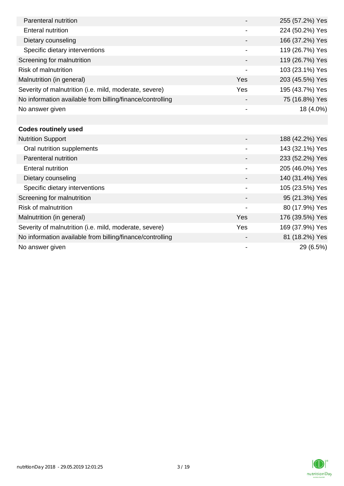| Parenteral nutrition                                      |                | 255 (57.2%) Yes |
|-----------------------------------------------------------|----------------|-----------------|
| <b>Enteral nutrition</b>                                  |                | 224 (50.2%) Yes |
| Dietary counseling                                        |                | 166 (37.2%) Yes |
| Specific dietary interventions                            |                | 119 (26.7%) Yes |
| Screening for malnutrition                                |                | 119 (26.7%) Yes |
| <b>Risk of malnutrition</b>                               |                | 103 (23.1%) Yes |
| Malnutrition (in general)                                 | Yes            | 203 (45.5%) Yes |
| Severity of malnutrition (i.e. mild, moderate, severe)    | Yes            | 195 (43.7%) Yes |
| No information available from billing/finance/controlling |                | 75 (16.8%) Yes  |
| No answer given                                           |                | 18 (4.0%)       |
|                                                           |                |                 |
| <b>Codes routinely used</b>                               |                |                 |
| <b>Nutrition Support</b>                                  |                | 188 (42.2%) Yes |
| Oral nutrition supplements                                |                | 143 (32.1%) Yes |
| Parenteral nutrition                                      |                | 233 (52.2%) Yes |
| <b>Enteral nutrition</b>                                  |                | 205 (46.0%) Yes |
| Dietary counseling                                        |                | 140 (31.4%) Yes |
| Specific dietary interventions                            |                | 105 (23.5%) Yes |
| Screening for malnutrition                                |                | 95 (21.3%) Yes  |
| <b>Risk of malnutrition</b>                               |                | 80 (17.9%) Yes  |
| Malnutrition (in general)                                 | Yes            | 176 (39.5%) Yes |
| Severity of malnutrition (i.e. mild, moderate, severe)    | Yes            | 169 (37.9%) Yes |
| No information available from billing/finance/controlling |                | 81 (18.2%) Yes  |
| No answer given                                           | $\blacksquare$ | 29 (6.5%)       |

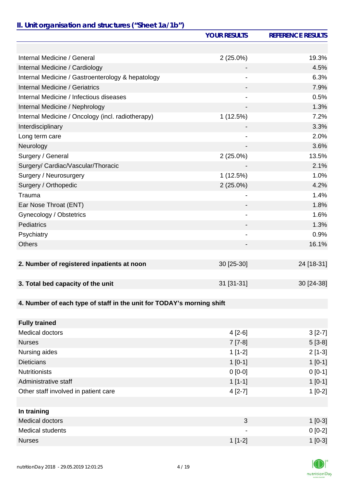## *II. Unit organisation and structures ("Sheet 1a/1b")*

|                                                                       | <b>YOUR RESULTS</b>      | <b>REFERENCE RESULTS</b> |
|-----------------------------------------------------------------------|--------------------------|--------------------------|
|                                                                       |                          |                          |
| Internal Medicine / General                                           | $2(25.0\%)$              | 19.3%                    |
| Internal Medicine / Cardiology                                        |                          | 4.5%                     |
| Internal Medicine / Gastroenterology & hepatology                     |                          | 6.3%                     |
| Internal Medicine / Geriatrics                                        |                          | 7.9%                     |
| Internal Medicine / Infectious diseases                               |                          | 0.5%                     |
| Internal Medicine / Nephrology                                        | $\overline{\phantom{0}}$ | 1.3%                     |
| Internal Medicine / Oncology (incl. radiotherapy)                     | 1(12.5%)                 | 7.2%                     |
| Interdisciplinary                                                     |                          | 3.3%                     |
| Long term care                                                        |                          | 2.0%                     |
| Neurology                                                             |                          | 3.6%                     |
| Surgery / General                                                     | $2(25.0\%)$              | 13.5%                    |
| Surgery/ Cardiac/Vascular/Thoracic                                    |                          | 2.1%                     |
| Surgery / Neurosurgery                                                | 1(12.5%)                 | 1.0%                     |
| Surgery / Orthopedic                                                  | $2(25.0\%)$              | 4.2%                     |
| Trauma                                                                |                          | 1.4%                     |
| Ear Nose Throat (ENT)                                                 |                          | 1.8%                     |
| Gynecology / Obstetrics                                               | $\overline{\phantom{a}}$ | 1.6%                     |
| Pediatrics                                                            | -                        | 1.3%                     |
| Psychiatry                                                            |                          | 0.9%                     |
| <b>Others</b>                                                         |                          | 16.1%                    |
|                                                                       |                          |                          |
| 2. Number of registered inpatients at noon                            | 30 [25-30]               | 24 [18-31]               |
|                                                                       |                          |                          |
| 3. Total bed capacity of the unit                                     | 31 [31-31]               | 30 [24-38]               |
|                                                                       |                          |                          |
| 4. Number of each type of staff in the unit for TODAY's morning shift |                          |                          |
|                                                                       |                          |                          |
| <b>Fully trained</b>                                                  |                          |                          |
| Medical doctors                                                       | $4[2-6]$                 | $3[2-7]$                 |
| <b>Nurses</b>                                                         | $7 [7-8]$                | $5[3-8]$                 |
| Nursing aides                                                         | $1[1-2]$                 | $2[1-3]$                 |
| <b>Dieticians</b>                                                     | $1[0-1]$                 | $1[0-1]$                 |
| <b>Nutritionists</b>                                                  | $0[0-0]$                 | $0 [0-1]$                |
| Administrative staff                                                  | $1[1-1]$                 | $1[0-1]$                 |
| Other staff involved in patient care                                  | $4[2-7]$                 | $1[0-2]$                 |
|                                                                       |                          |                          |
| In training                                                           |                          |                          |
| <b>Medical doctors</b>                                                | 3                        | $1$ [0-3]                |
| <b>Medical students</b>                                               |                          | $0[0-2]$                 |
| <b>Nurses</b>                                                         | $1[1-2]$                 | $1[0-3]$                 |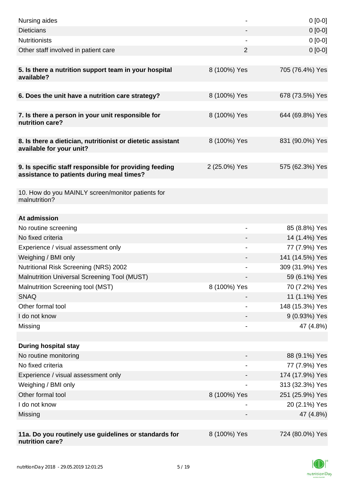| Nursing aides                                                                                       |                | $0[0-0]$        |
|-----------------------------------------------------------------------------------------------------|----------------|-----------------|
| <b>Dieticians</b>                                                                                   |                | $0[0-0]$        |
| <b>Nutritionists</b>                                                                                |                | $0[0-0]$        |
| Other staff involved in patient care                                                                | $\overline{2}$ | $0[0-0]$        |
| 5. Is there a nutrition support team in your hospital<br>available?                                 | 8 (100%) Yes   | 705 (76.4%) Yes |
| 6. Does the unit have a nutrition care strategy?                                                    | 8 (100%) Yes   | 678 (73.5%) Yes |
| 7. Is there a person in your unit responsible for<br>nutrition care?                                | 8 (100%) Yes   | 644 (69.8%) Yes |
| 8. Is there a dietician, nutritionist or dietetic assistant<br>available for your unit?             | 8 (100%) Yes   | 831 (90.0%) Yes |
| 9. Is specific staff responsible for providing feeding<br>assistance to patients during meal times? | 2 (25.0%) Yes  | 575 (62.3%) Yes |
| 10. How do you MAINLY screen/monitor patients for<br>malnutrition?                                  |                |                 |
| At admission                                                                                        |                |                 |
| No routine screening                                                                                | ٠              | 85 (8.8%) Yes   |
| No fixed criteria                                                                                   |                | 14 (1.4%) Yes   |
| Experience / visual assessment only                                                                 |                | 77 (7.9%) Yes   |
| Weighing / BMI only                                                                                 |                | 141 (14.5%) Yes |
| <b>Nutritional Risk Screening (NRS) 2002</b>                                                        |                | 309 (31.9%) Yes |
| Malnutrition Universal Screening Tool (MUST)                                                        |                | 59 (6.1%) Yes   |
| Malnutrition Screening tool (MST)                                                                   | 8 (100%) Yes   | 70 (7.2%) Yes   |
| <b>SNAQ</b>                                                                                         |                | 11 (1.1%) Yes   |
| Other formal tool                                                                                   |                | 148 (15.3%) Yes |
| I do not know                                                                                       |                | 9 (0.93%) Yes   |
| Missing                                                                                             |                | 47 (4.8%)       |
|                                                                                                     |                |                 |
| <b>During hospital stay</b>                                                                         |                |                 |
| No routine monitoring                                                                               |                | 88 (9.1%) Yes   |
| No fixed criteria                                                                                   |                | 77 (7.9%) Yes   |
| Experience / visual assessment only                                                                 |                | 174 (17.9%) Yes |
| Weighing / BMI only                                                                                 |                | 313 (32.3%) Yes |
| Other formal tool                                                                                   | 8 (100%) Yes   | 251 (25.9%) Yes |
| I do not know                                                                                       |                | 20 (2.1%) Yes   |
| Missing                                                                                             |                | 47 (4.8%)       |
| 11a. Do you routinely use guidelines or standards for<br>nutrition care?                            | 8 (100%) Yes   | 724 (80.0%) Yes |

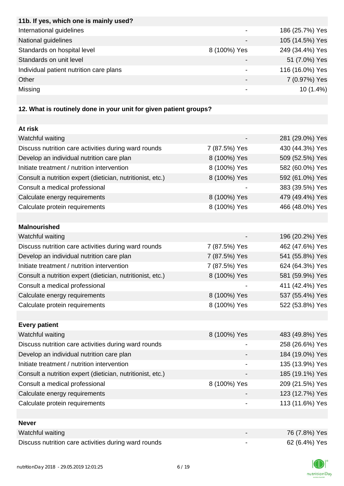| 11b. If yes, which one is mainly used?  |              |                 |
|-----------------------------------------|--------------|-----------------|
| International guidelines                |              | 186 (25.7%) Yes |
| National guidelines                     |              | 105 (14.5%) Yes |
| Standards on hospital level             | 8 (100%) Yes | 249 (34.4%) Yes |
| Standards on unit level                 |              | 51 (7.0%) Yes   |
| Individual patient nutrition care plans |              | 116 (16.0%) Yes |
| Other                                   |              | 7 (0.97%) Yes   |
| Missing                                 |              | $10(1.4\%)$     |
|                                         |              |                 |

# **12. What is routinely done in your unit for given patient groups?**

| At risk                                                    |               |                 |
|------------------------------------------------------------|---------------|-----------------|
| Watchful waiting                                           |               | 281 (29.0%) Yes |
| Discuss nutrition care activities during ward rounds       | 7 (87.5%) Yes | 430 (44.3%) Yes |
| Develop an individual nutrition care plan                  | 8 (100%) Yes  | 509 (52.5%) Yes |
| Initiate treatment / nutrition intervention                | 8 (100%) Yes  | 582 (60.0%) Yes |
| Consult a nutrition expert (dietician, nutritionist, etc.) | 8 (100%) Yes  | 592 (61.0%) Yes |
| Consult a medical professional                             |               | 383 (39.5%) Yes |
| Calculate energy requirements                              | 8 (100%) Yes  | 479 (49.4%) Yes |
| Calculate protein requirements                             | 8 (100%) Yes  | 466 (48.0%) Yes |
|                                                            |               |                 |
| <b>Malnourished</b>                                        |               |                 |
| Watchful waiting                                           |               | 196 (20.2%) Yes |
| Discuss nutrition care activities during ward rounds       | 7 (87.5%) Yes | 462 (47.6%) Yes |
| Develop an individual nutrition care plan                  | 7 (87.5%) Yes | 541 (55.8%) Yes |
| Initiate treatment / nutrition intervention                | 7 (87.5%) Yes | 624 (64.3%) Yes |
| Consult a nutrition expert (dietician, nutritionist, etc.) | 8 (100%) Yes  | 581 (59.9%) Yes |
| Consult a medical professional                             |               | 411 (42.4%) Yes |
| Calculate energy requirements                              | 8 (100%) Yes  | 537 (55.4%) Yes |
| Calculate protein requirements                             | 8 (100%) Yes  | 522 (53.8%) Yes |
|                                                            |               |                 |
| <b>Every patient</b>                                       |               |                 |
| Watchful waiting                                           | 8 (100%) Yes  | 483 (49.8%) Yes |
| Discuss nutrition care activities during ward rounds       |               | 258 (26.6%) Yes |
| Develop an individual nutrition care plan                  |               | 184 (19.0%) Yes |
| Initiate treatment / nutrition intervention                |               | 135 (13.9%) Yes |
| Consult a nutrition expert (dietician, nutritionist, etc.) |               | 185 (19.1%) Yes |
| Consult a medical professional                             | 8 (100%) Yes  | 209 (21.5%) Yes |
| Calculate energy requirements                              |               | 123 (12.7%) Yes |
| Calculate protein requirements                             |               | 113 (11.6%) Yes |
|                                                            |               |                 |
| <b>Never</b>                                               |               |                 |
| Watchful waiting                                           |               | 76 (7.8%) Yes   |
| Discuss nutrition care activities during ward rounds       | -             | 62 (6.4%) Yes   |

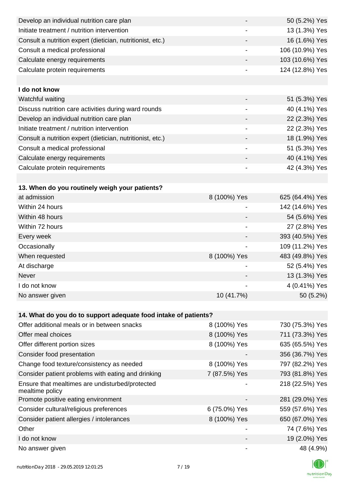| Develop an individual nutrition care plan                          |                          | 50 (5.2%) Yes   |
|--------------------------------------------------------------------|--------------------------|-----------------|
| Initiate treatment / nutrition intervention                        |                          | 13 (1.3%) Yes   |
| Consult a nutrition expert (dietician, nutritionist, etc.)         |                          | 16 (1.6%) Yes   |
| Consult a medical professional                                     |                          | 106 (10.9%) Yes |
| Calculate energy requirements                                      |                          | 103 (10.6%) Yes |
| Calculate protein requirements                                     | -                        | 124 (12.8%) Yes |
|                                                                    |                          |                 |
| I do not know                                                      |                          |                 |
| Watchful waiting                                                   |                          | 51 (5.3%) Yes   |
| Discuss nutrition care activities during ward rounds               |                          | 40 (4.1%) Yes   |
| Develop an individual nutrition care plan                          |                          | 22 (2.3%) Yes   |
| Initiate treatment / nutrition intervention                        | $\overline{\phantom{a}}$ | 22 (2.3%) Yes   |
| Consult a nutrition expert (dietician, nutritionist, etc.)         |                          | 18 (1.9%) Yes   |
| Consult a medical professional                                     |                          | 51 (5.3%) Yes   |
| Calculate energy requirements                                      |                          | 40 (4.1%) Yes   |
| Calculate protein requirements                                     | -                        | 42 (4.3%) Yes   |
|                                                                    |                          |                 |
| 13. When do you routinely weigh your patients?                     |                          |                 |
| at admission                                                       | 8 (100%) Yes             | 625 (64.4%) Yes |
| Within 24 hours                                                    |                          | 142 (14.6%) Yes |
| Within 48 hours                                                    |                          | 54 (5.6%) Yes   |
| Within 72 hours                                                    | -                        | 27 (2.8%) Yes   |
| Every week                                                         |                          | 393 (40.5%) Yes |
| Occasionally                                                       | $\overline{\phantom{a}}$ | 109 (11.2%) Yes |
| When requested                                                     | 8 (100%) Yes             | 483 (49.8%) Yes |
| At discharge                                                       |                          | 52 (5.4%) Yes   |
| Never                                                              |                          | 13 (1.3%) Yes   |
| I do not know                                                      |                          | 4 (0.41%) Yes   |
| No answer given                                                    | 10 (41.7%)               | 50 (5.2%)       |
|                                                                    |                          |                 |
| 14. What do you do to support adequate food intake of patients?    |                          |                 |
| Offer additional meals or in between snacks                        | 8 (100%) Yes             | 730 (75.3%) Yes |
| Offer meal choices                                                 | 8 (100%) Yes             | 711 (73.3%) Yes |
| Offer different portion sizes                                      | 8 (100%) Yes             | 635 (65.5%) Yes |
| Consider food presentation                                         |                          | 356 (36.7%) Yes |
| Change food texture/consistency as needed                          | 8 (100%) Yes             | 797 (82.2%) Yes |
| Consider patient problems with eating and drinking                 | 7 (87.5%) Yes            | 793 (81.8%) Yes |
| Ensure that mealtimes are undisturbed/protected<br>mealtime policy |                          | 218 (22.5%) Yes |
| Promote positive eating environment                                |                          | 281 (29.0%) Yes |
| Consider cultural/religious preferences                            | 6 (75.0%) Yes            | 559 (57.6%) Yes |
| Consider patient allergies / intolerances                          | 8 (100%) Yes             | 650 (67.0%) Yes |
| Other                                                              |                          | 74 (7.6%) Yes   |
| I do not know                                                      |                          | 19 (2.0%) Yes   |
| No answer given                                                    |                          | 48 (4.9%)       |

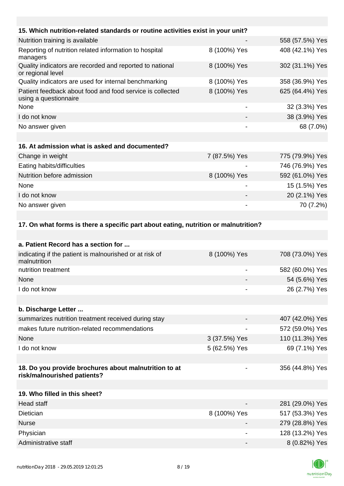| 15. Which nutrition-related standards or routine activities exist in your unit?     |                 |                 |
|-------------------------------------------------------------------------------------|-----------------|-----------------|
| Nutrition training is available                                                     |                 | 558 (57.5%) Yes |
| Reporting of nutrition related information to hospital<br>managers                  | 8 (100%) Yes    | 408 (42.1%) Yes |
| Quality indicators are recorded and reported to national<br>or regional level       | 8 (100%) Yes    | 302 (31.1%) Yes |
| Quality indicators are used for internal benchmarking                               | 8 (100%) Yes    | 358 (36.9%) Yes |
| Patient feedback about food and food service is collected<br>using a questionnaire  | 8 (100%) Yes    | 625 (64.4%) Yes |
| None                                                                                | $\qquad \qquad$ | 32 (3.3%) Yes   |
| I do not know                                                                       |                 | 38 (3.9%) Yes   |
| No answer given                                                                     |                 | 68 (7.0%)       |
|                                                                                     |                 |                 |
| 16. At admission what is asked and documented?                                      |                 |                 |
| Change in weight                                                                    | 7 (87.5%) Yes   | 775 (79.9%) Yes |
| Eating habits/difficulties                                                          |                 | 746 (76.9%) Yes |
| Nutrition before admission                                                          | 8 (100%) Yes    | 592 (61.0%) Yes |
| None                                                                                |                 | 15 (1.5%) Yes   |
| I do not know                                                                       |                 | 20 (2.1%) Yes   |
| No answer given                                                                     |                 | 70 (7.2%)       |
|                                                                                     |                 |                 |
| 17. On what forms is there a specific part about eating, nutrition or malnutrition? |                 |                 |
|                                                                                     |                 |                 |

| a. Patient Record has a section for                                                  |                          |                 |
|--------------------------------------------------------------------------------------|--------------------------|-----------------|
| indicating if the patient is malnourished or at risk of<br>malnutrition              | 8 (100%) Yes             | 708 (73.0%) Yes |
| nutrition treatment                                                                  | $\overline{\phantom{a}}$ | 582 (60.0%) Yes |
| None                                                                                 |                          | 54 (5.6%) Yes   |
| I do not know                                                                        |                          | 26 (2.7%) Yes   |
|                                                                                      |                          |                 |
| b. Discharge Letter                                                                  |                          |                 |
| summarizes nutrition treatment received during stay                                  |                          | 407 (42.0%) Yes |
| makes future nutrition-related recommendations                                       | $\blacksquare$           | 572 (59.0%) Yes |
| None                                                                                 | 3 (37.5%) Yes            | 110 (11.3%) Yes |
| I do not know                                                                        | 5 (62.5%) Yes            | 69 (7.1%) Yes   |
|                                                                                      |                          |                 |
| 18. Do you provide brochures about malnutrition to at<br>risk/malnourished patients? | ۰                        | 356 (44.8%) Yes |
|                                                                                      |                          |                 |
| 19. Who filled in this sheet?                                                        |                          |                 |
| <b>Head staff</b>                                                                    |                          | 281 (29.0%) Yes |
| Dietician                                                                            | 8 (100%) Yes             | 517 (53.3%) Yes |
| <b>Nurse</b>                                                                         |                          | 279 (28.8%) Yes |
| Physician                                                                            |                          | 128 (13.2%) Yes |
| Administrative staff                                                                 |                          | 8 (0.82%) Yes   |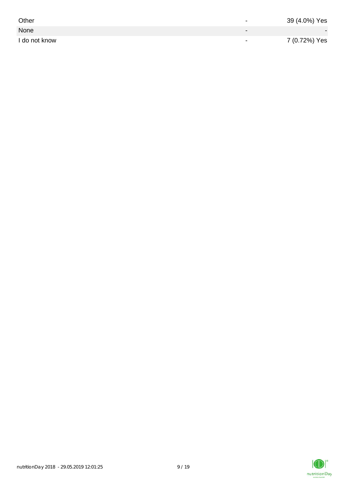| Other         | $\overline{\phantom{0}}$ | 39 (4.0%) Yes |
|---------------|--------------------------|---------------|
| None          |                          |               |
| I do not know | $\,$                     | 7 (0.72%) Yes |

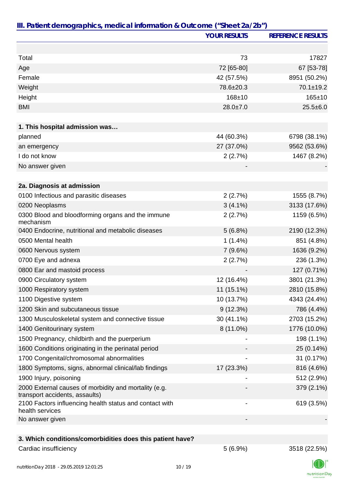|                                                                                         | <b>YOUR RESULTS</b> | <b>REFERENCE RESULTS</b> |
|-----------------------------------------------------------------------------------------|---------------------|--------------------------|
|                                                                                         |                     |                          |
| Total                                                                                   | 73                  | 17827                    |
| Age                                                                                     | 72 [65-80]          | 67 [53-78]               |
| Female                                                                                  | 42 (57.5%)          | 8951 (50.2%)             |
| Weight                                                                                  | 78.6±20.3           | $70.1 \pm 19.2$          |
| Height                                                                                  | 168±10              | $165 + 10$               |
| <b>BMI</b>                                                                              | $28.0 \pm 7.0$      | $25.5 \pm 6.0$           |
|                                                                                         |                     |                          |
| 1. This hospital admission was                                                          |                     |                          |
| planned                                                                                 | 44 (60.3%)          | 6798 (38.1%)             |
| an emergency                                                                            | 27 (37.0%)          | 9562 (53.6%)             |
| I do not know                                                                           | 2(2.7%)             | 1467 (8.2%)              |
| No answer given                                                                         |                     |                          |
| 2a. Diagnosis at admission                                                              |                     |                          |
| 0100 Infectious and parasitic diseases                                                  | 2(2.7%)             | 1555 (8.7%)              |
| 0200 Neoplasms                                                                          | $3(4.1\%)$          | 3133 (17.6%)             |
| 0300 Blood and bloodforming organs and the immune<br>mechanism                          | 2(2.7%)             | 1159 (6.5%)              |
| 0400 Endocrine, nutritional and metabolic diseases                                      | 5(6.8%)             | 2190 (12.3%)             |
| 0500 Mental health                                                                      | $1(1.4\%)$          | 851 (4.8%)               |
| 0600 Nervous system                                                                     | 7(9.6%)             | 1636 (9.2%)              |
| 0700 Eye and adnexa                                                                     | 2(2.7%)             | 236 (1.3%)               |
| 0800 Ear and mastoid process                                                            |                     | 127 (0.71%)              |
| 0900 Circulatory system                                                                 | 12 (16.4%)          | 3801 (21.3%)             |
| 1000 Respiratory system                                                                 | 11 (15.1%)          | 2810 (15.8%)             |
| 1100 Digestive system                                                                   | 10 (13.7%)          | 4343 (24.4%)             |
| 1200 Skin and subcutaneous tissue                                                       | 9(12.3%)            | 786 (4.4%)               |
| 1300 Musculoskeletal system and connective tissue                                       | 30 (41.1%)          | 2703 (15.2%)             |
| 1400 Genitourinary system                                                               | 8 (11.0%)           | 1776 (10.0%)             |
| 1500 Pregnancy, childbirth and the puerperium                                           |                     | 198 (1.1%)               |
| 1600 Conditions originating in the perinatal period                                     |                     | 25 (0.14%)               |
| 1700 Congenital/chromosomal abnormalities                                               |                     | 31 (0.17%)               |
| 1800 Symptoms, signs, abnormal clinical/lab findings                                    | 17 (23.3%)          | 816 (4.6%)               |
| 1900 Injury, poisoning                                                                  |                     | 512 (2.9%)               |
| 2000 External causes of morbidity and mortality (e.g.<br>transport accidents, assaults) |                     | 379 (2.1%)               |
| 2100 Factors influencing health status and contact with<br>health services              |                     | 619 (3.5%)               |
| No answer given                                                                         |                     |                          |
|                                                                                         |                     |                          |
| 3. Which conditions/comorbidities does this patient have?                               |                     |                          |

#### Cardiac insufficiency 3518 (22.5%)

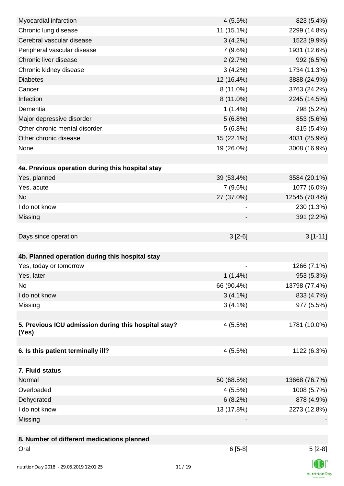| Myocardial infarction                                | 4(5.5%)    | 823 (5.4%)    |
|------------------------------------------------------|------------|---------------|
| Chronic lung disease                                 | 11 (15.1%) | 2299 (14.8%)  |
| Cerebral vascular disease                            | 3(4.2%)    | 1523 (9.9%)   |
| Peripheral vascular disease                          | 7(9.6%)    | 1931 (12.6%)  |
| Chronic liver disease                                | 2(2.7%)    | 992 (6.5%)    |
| Chronic kidney disease                               | $3(4.2\%)$ | 1734 (11.3%)  |
| <b>Diabetes</b>                                      | 12 (16.4%) | 3888 (24.9%)  |
| Cancer                                               | 8 (11.0%)  | 3763 (24.2%)  |
| Infection                                            | 8 (11.0%)  | 2245 (14.5%)  |
| Dementia                                             | $1(1.4\%)$ | 798 (5.2%)    |
| Major depressive disorder                            | 5(6.8%)    | 853 (5.6%)    |
| Other chronic mental disorder                        | 5(6.8%)    | 815 (5.4%)    |
| Other chronic disease                                | 15 (22.1%) | 4031 (25.9%)  |
| None                                                 | 19 (26.0%) | 3008 (16.9%)  |
|                                                      |            |               |
| 4a. Previous operation during this hospital stay     |            |               |
| Yes, planned                                         | 39 (53.4%) | 3584 (20.1%)  |
| Yes, acute                                           | 7(9.6%)    | 1077 (6.0%)   |
| <b>No</b>                                            | 27 (37.0%) | 12545 (70.4%) |
| I do not know                                        |            | 230 (1.3%)    |
| Missing                                              |            | 391 (2.2%)    |
|                                                      |            |               |
| Days since operation                                 | $3[2-6]$   | $3[1-11]$     |
|                                                      |            |               |
| 4b. Planned operation during this hospital stay      |            |               |
| Yes, today or tomorrow                               |            | 1266 (7.1%)   |
| Yes, later                                           | $1(1.4\%)$ | 953 (5.3%)    |
| No                                                   | 66 (90.4%) | 13798 (77.4%) |
| I do not know                                        | $3(4.1\%)$ | 833 (4.7%)    |
| Missing                                              | $3(4.1\%)$ | 977 (5.5%)    |
|                                                      |            |               |
| 5. Previous ICU admission during this hospital stay? | $4(5.5\%)$ | 1781 (10.0%)  |
| (Yes)                                                |            |               |
|                                                      |            |               |
| 6. Is this patient terminally ill?                   | 4(5.5%)    | 1122 (6.3%)   |
|                                                      |            |               |
| 7. Fluid status                                      |            |               |
| Normal                                               | 50 (68.5%) | 13668 (76.7%) |
| Overloaded                                           | 4(5.5%)    | 1008 (5.7%)   |
| Dehydrated                                           | 6(8.2%)    | 878 (4.9%)    |
| I do not know                                        | 13 (17.8%) | 2273 (12.8%)  |
| Missing                                              |            |               |
| 8. Number of different medications planned           |            |               |
| Oral                                                 | $6[5-8]$   | $5[2-8]$      |
|                                                      |            |               |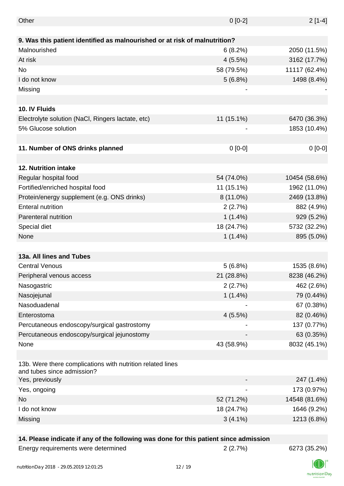| Other                                                                      | $0[0-2]$    | $2[1-4]$      |
|----------------------------------------------------------------------------|-------------|---------------|
|                                                                            |             |               |
| 9. Was this patient identified as malnourished or at risk of malnutrition? |             |               |
| Malnourished                                                               | 6(8.2%)     | 2050 (11.5%)  |
| At risk                                                                    | 4(5.5%)     | 3162 (17.7%)  |
| No                                                                         | 58 (79.5%)  | 11117 (62.4%) |
| I do not know                                                              | 5(6.8%)     | 1498 (8.4%)   |
| Missing                                                                    | -           |               |
|                                                                            |             |               |
| 10. IV Fluids                                                              |             |               |
| Electrolyte solution (NaCl, Ringers lactate, etc)                          | 11 (15.1%)  | 6470 (36.3%)  |
| 5% Glucose solution                                                        |             | 1853 (10.4%)  |
|                                                                            |             |               |
| 11. Number of ONS drinks planned                                           | $0[0-0]$    | $0[0-0]$      |
|                                                                            |             |               |
| 12. Nutrition intake                                                       |             |               |
| Regular hospital food                                                      | 54 (74.0%)  | 10454 (58.6%) |
| Fortified/enriched hospital food                                           | 11 (15.1%)  | 1962 (11.0%)  |
| Protein/energy supplement (e.g. ONS drinks)                                | $8(11.0\%)$ | 2469 (13.8%)  |
| <b>Enteral nutrition</b>                                                   | 2(2.7%)     | 882 (4.9%)    |
| Parenteral nutrition                                                       | $1(1.4\%)$  | 929 (5.2%)    |
| Special diet                                                               | 18 (24.7%)  | 5732 (32.2%)  |
| None                                                                       | $1(1.4\%)$  | 895 (5.0%)    |
|                                                                            |             |               |
| 13a. All lines and Tubes                                                   |             |               |
| <b>Central Venous</b>                                                      | 5(6.8%)     | 1535 (8.6%)   |
| Peripheral venous access                                                   | 21 (28.8%)  | 8238 (46.2%)  |
| Nasogastric                                                                | 2(2.7%)     | 462 (2.6%)    |
| Nasojejunal                                                                | $1(1.4\%)$  | 79 (0.44%)    |
| Nasoduadenal                                                               |             | 67 (0.38%)    |
| Enterostoma                                                                | 4(5.5%)     | 82 (0.46%)    |
| Percutaneous endoscopy/surgical gastrostomy                                |             | 137 (0.77%)   |
| Percutaneous endoscopy/surgical jejunostomy                                |             | 63 (0.35%)    |
| None                                                                       | 43 (58.9%)  | 8032 (45.1%)  |
|                                                                            |             |               |
| 13b. Were there complications with nutrition related lines                 |             |               |
| and tubes since admission?                                                 |             |               |
| Yes, previously                                                            |             | 247 (1.4%)    |
| Yes, ongoing                                                               |             | 173 (0.97%)   |
| No                                                                         | 52 (71.2%)  | 14548 (81.6%) |
| I do not know                                                              | 18 (24.7%)  | 1646 (9.2%)   |
| Missing                                                                    | $3(4.1\%)$  | 1213 (6.8%)   |
|                                                                            |             |               |

### **14. Please indicate if any of the following was done for this patient since admission**

Energy requirements were determined 2 (2.7%) 6273 (35.2%)

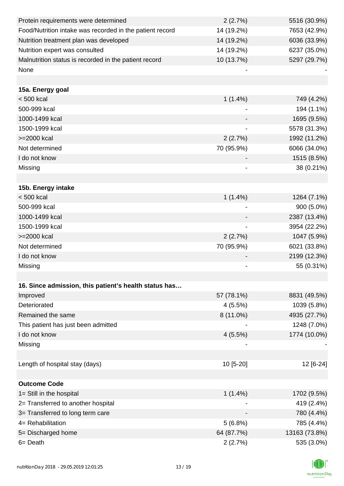| Protein requirements were determined                     | 2(2.7%)                      | 5516 (30.9%)  |
|----------------------------------------------------------|------------------------------|---------------|
| Food/Nutrition intake was recorded in the patient record | 14 (19.2%)                   | 7653 (42.9%)  |
| Nutrition treatment plan was developed                   | 14 (19.2%)                   | 6036 (33.9%)  |
| Nutrition expert was consulted                           | 14 (19.2%)                   | 6237 (35.0%)  |
| Malnutrition status is recorded in the patient record    | 10 (13.7%)                   | 5297 (29.7%)  |
| None                                                     |                              |               |
|                                                          |                              |               |
| 15a. Energy goal                                         |                              |               |
| $< 500$ kcal                                             | $1(1.4\%)$                   | 749 (4.2%)    |
| 500-999 kcal                                             |                              | 194 (1.1%)    |
| 1000-1499 kcal                                           |                              | 1695 (9.5%)   |
| 1500-1999 kcal                                           | $\qquad \qquad \blacksquare$ | 5578 (31.3%)  |
| >=2000 kcal                                              | 2(2.7%)                      | 1992 (11.2%)  |
| Not determined                                           | 70 (95.9%)                   | 6066 (34.0%)  |
| I do not know                                            |                              | 1515 (8.5%)   |
| Missing                                                  |                              | 38 (0.21%)    |
|                                                          |                              |               |
| 15b. Energy intake                                       |                              |               |
| $< 500$ kcal                                             | $1(1.4\%)$                   | 1264 (7.1%)   |
| 500-999 kcal                                             |                              | 900 (5.0%)    |
| 1000-1499 kcal                                           |                              | 2387 (13.4%)  |
| 1500-1999 kcal                                           |                              | 3954 (22.2%)  |
| >=2000 kcal                                              | 2(2.7%)                      | 1047 (5.9%)   |
| Not determined                                           | 70 (95.9%)                   | 6021 (33.8%)  |
| I do not know                                            |                              | 2199 (12.3%)  |
| Missing                                                  |                              | 55 (0.31%)    |
|                                                          |                              |               |
| 16. Since admission, this patient's health status has    |                              |               |
| Improved                                                 | 57 (78.1%)                   | 8831 (49.5%)  |
| Deteriorated                                             | 4(5.5%)                      | 1039 (5.8%)   |
| Remained the same                                        | $8(11.0\%)$                  | 4935 (27.7%)  |
| This patient has just been admitted                      |                              | 1248 (7.0%)   |
| I do not know                                            | 4(5.5%)                      | 1774 (10.0%)  |
| Missing                                                  |                              |               |
|                                                          |                              |               |
| Length of hospital stay (days)                           | 10 [5-20]                    | 12 [6-24]     |
|                                                          |                              |               |
| <b>Outcome Code</b>                                      |                              |               |
| 1= Still in the hospital                                 | $1(1.4\%)$                   | 1702 (9.5%)   |
| 2= Transferred to another hospital                       |                              | 419 (2.4%)    |
| 3= Transferred to long term care                         |                              | 780 (4.4%)    |
| 4= Rehabilitation                                        | 5(6.8%)                      | 785 (4.4%)    |
| 5= Discharged home                                       | 64 (87.7%)                   | 13163 (73.8%) |
| 6= Death                                                 | 2(2.7%)                      | 535 (3.0%)    |

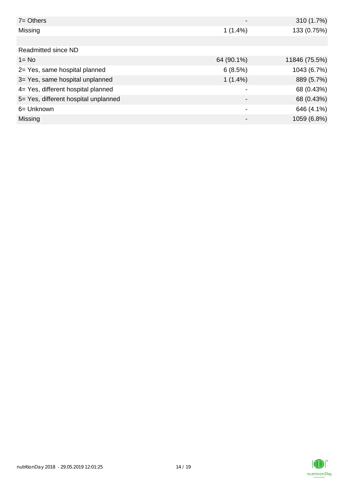| $7 =$ Others                         |                          | 310 (1.7%)    |
|--------------------------------------|--------------------------|---------------|
| Missing                              | $1(1.4\%)$               | 133 (0.75%)   |
|                                      |                          |               |
| Readmitted since ND                  |                          |               |
| $1 = No$                             | 64 (90.1%)               | 11846 (75.5%) |
| 2= Yes, same hospital planned        | 6(8.5%)                  | 1043 (6.7%)   |
| 3= Yes, same hospital unplanned      | $1(1.4\%)$               | 889 (5.7%)    |
| 4= Yes, different hospital planned   |                          | 68 (0.43%)    |
| 5= Yes, different hospital unplanned | $\overline{\phantom{0}}$ | 68 (0.43%)    |
| 6= Unknown                           |                          | 646 (4.1%)    |
| Missing                              |                          | 1059 (6.8%)   |

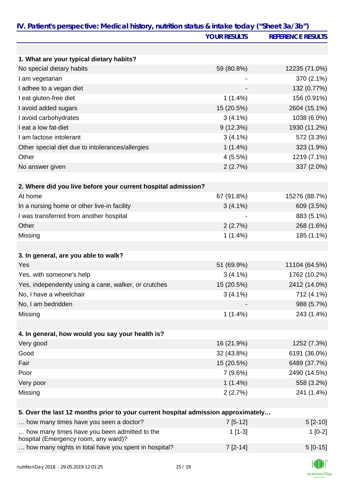|                                                                                      | <b>YOUR RESULTS</b> | <b>REFERENCE RESULTS</b> |
|--------------------------------------------------------------------------------------|---------------------|--------------------------|
|                                                                                      |                     |                          |
| 1. What are your typical dietary habits?                                             |                     |                          |
| No special dietary habits                                                            | 59 (80.8%)          | 12235 (71.0%)            |
| I am vegetarian                                                                      |                     | 370 (2.1%)               |
| I adhee to a vegan diet                                                              |                     | 132 (0.77%)              |
| I eat gluten-free diet                                                               | $1(1.4\%)$          | 156 (0.91%)              |
| I avoid added sugars                                                                 | 15 (20.5%)          | 2604 (15.1%)             |
| I avoid carbohydrates                                                                | $3(4.1\%)$          | 1038 (6.0%)              |
| I eat a low fat-diet                                                                 | 9(12.3%)            | 1930 (11.2%)             |
| I am lactose intolerant                                                              | $3(4.1\%)$          | 572 (3.3%)               |
| Other special diet due to intolerances/allergies                                     | $1(1.4\%)$          | 323 (1.9%)               |
| Other                                                                                | 4(5.5%)             | 1219 (7.1%)              |
| No answer given                                                                      | 2(2.7%)             | 337 (2.0%)               |
|                                                                                      |                     |                          |
| 2. Where did you live before your current hospital admission?                        |                     |                          |
| At home                                                                              | 67 (91.8%)          | 15276 (88.7%)            |
| In a nursing home or other live-in facility                                          | $3(4.1\%)$          | 609 (3.5%)               |
| I was transferred from another hospital                                              |                     | 883 (5.1%)               |
| Other                                                                                | 2(2.7%)             | 268 (1.6%)               |
| Missing                                                                              | $1(1.4\%)$          | 185 (1.1%)               |
|                                                                                      |                     |                          |
| 3. In general, are you able to walk?                                                 |                     |                          |
| Yes                                                                                  | 51 (69.9%)          | 11104 (64.5%)            |
| Yes, with someone's help                                                             | $3(4.1\%)$          | 1762 (10.2%)             |
| Yes, independently using a cane, walker, or crutches                                 | 15 (20.5%)          | 2412 (14.0%)             |
| No, I have a wheelchair                                                              | $3(4.1\%)$          | 712 (4.1%)               |
| No, I am bedridden                                                                   |                     | 988 (5.7%)               |
| Missing                                                                              | $1(1.4\%)$          | 243 (1.4%)               |
|                                                                                      |                     |                          |
| 4. In general, how would you say your health is?                                     |                     |                          |
| Very good                                                                            | 16 (21.9%)          | 1252 (7.3%)              |
| Good                                                                                 | 32 (43.8%)          | 6191 (36.0%)             |
| Fair                                                                                 | 15 (20.5%)          | 6489 (37.7%)             |
| Poor                                                                                 | 7(9.6%)             | 2490 (14.5%)             |
| Very poor                                                                            | $1(1.4\%)$          | 558 (3.2%)               |
| Missing                                                                              | 2(2.7%)             | 241 (1.4%)               |
|                                                                                      |                     |                          |
| 5. Over the last 12 months prior to your current hospital admission approximately    |                     |                          |
| how many times have you seen a doctor?                                               | $7[5-12]$           | $5[2-10]$                |
| how many times have you been admitted to the<br>hospital (Emergency room, any ward)? | $1[1-3]$            | $1[0-2]$                 |
| how many nights in total have you spent in hospital?                                 | $7[2-14]$           | $5[0-15]$                |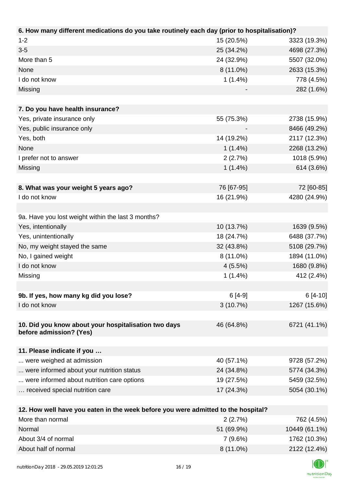| 6. How many different medications do you take routinely each day (prior to hospitalisation)? |            |              |
|----------------------------------------------------------------------------------------------|------------|--------------|
| $1 - 2$                                                                                      | 15 (20.5%) | 3323 (19.3%) |
| $3 - 5$                                                                                      | 25 (34.2%) | 4698 (27.3%) |
| More than 5                                                                                  | 24 (32.9%) | 5507 (32.0%) |
| None                                                                                         | 8 (11.0%)  | 2633 (15.3%) |
| I do not know                                                                                | $1(1.4\%)$ | 778 (4.5%)   |
| Missing                                                                                      |            | 282 (1.6%)   |
|                                                                                              |            |              |
| 7. Do you have health insurance?                                                             |            |              |
| Yes, private insurance only                                                                  | 55 (75.3%) | 2738 (15.9%) |
| Yes, public insurance only                                                                   |            | 8466 (49.2%) |
| Yes, both                                                                                    | 14 (19.2%) | 2117 (12.3%) |
| None                                                                                         | $1(1.4\%)$ | 2268 (13.2%) |
| I prefer not to answer                                                                       | 2(2.7%)    | 1018 (5.9%)  |
| Missing                                                                                      | $1(1.4\%)$ | 614 (3.6%)   |
|                                                                                              |            |              |
| 8. What was your weight 5 years ago?                                                         | 76 [67-95] | 72 [60-85]   |
| I do not know                                                                                | 16 (21.9%) | 4280 (24.9%) |
|                                                                                              |            |              |
| 9a. Have you lost weight within the last 3 months?                                           |            |              |
| Yes, intentionally                                                                           | 10 (13.7%) | 1639 (9.5%)  |
| Yes, unintentionally                                                                         | 18 (24.7%) | 6488 (37.7%) |
| No, my weight stayed the same                                                                | 32 (43.8%) | 5108 (29.7%) |
| No, I gained weight                                                                          | 8 (11.0%)  | 1894 (11.0%) |
| I do not know                                                                                | 4(5.5%)    | 1680 (9.8%)  |
| Missing                                                                                      | $1(1.4\%)$ | 412 (2.4%)   |
|                                                                                              |            |              |
| 9b. If yes, how many kg did you lose?                                                        | $6[4-9]$   | $6[4-10]$    |
| I do not know                                                                                | 3(10.7%)   | 1267 (15.6%) |
|                                                                                              |            |              |
| 10. Did you know about your hospitalisation two days                                         | 46 (64.8%) | 6721 (41.1%) |
| before admission? (Yes)                                                                      |            |              |
|                                                                                              |            |              |
| 11. Please indicate if you                                                                   |            |              |
| were weighed at admission                                                                    | 40 (57.1%) | 9728 (57.2%) |
| were informed about your nutrition status                                                    | 24 (34.8%) | 5774 (34.3%) |
| were informed about nutrition care options                                                   | 19 (27.5%) | 5459 (32.5%) |
| received special nutrition care                                                              | 17 (24.3%) | 5054 (30.1%) |
|                                                                                              |            |              |
| 12. How well have you eaten in the week before you were admitted to the hospital?            |            |              |
| More than normal                                                                             | 2(2.7%)    | 762 (4.5%)   |

| More than normal     | 2(2.7%)     | 762 (4.5%)    |
|----------------------|-------------|---------------|
| Normal               | 51 (69.9%)  | 10449 (61.1%) |
| About 3/4 of normal  | 7(9.6%)     | 1762 (10.3%)  |
| About half of normal | $8(11.0\%)$ | 2122 (12.4%)  |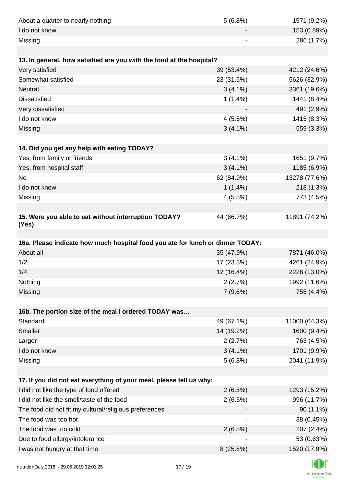| About a quarter to nearly nothing                                              | 5(6.8%)    | 1571 (9.2%)   |
|--------------------------------------------------------------------------------|------------|---------------|
| I do not know                                                                  |            | 153 (0.89%)   |
| Missing                                                                        |            | 286 (1.7%)    |
|                                                                                |            |               |
| 13. In general, how satisfied are you with the food at the hospital?           |            |               |
| Very satisfied                                                                 | 39 (53.4%) | 4212 (24.6%)  |
| Somewhat satisfied                                                             | 23 (31.5%) | 5626 (32.9%)  |
| Neutral                                                                        | $3(4.1\%)$ | 3361 (19.6%)  |
| <b>Dissatisfied</b>                                                            | $1(1.4\%)$ | 1441 (8.4%)   |
| Very dissatisfied                                                              |            | 491 (2.9%)    |
| I do not know                                                                  | 4(5.5%)    | 1415 (8.3%)   |
| Missing                                                                        | $3(4.1\%)$ | 559 (3.3%)    |
|                                                                                |            |               |
| 14. Did you get any help with eating TODAY?                                    |            |               |
| Yes, from family or friends                                                    | $3(4.1\%)$ | 1651 (9.7%)   |
| Yes, from hospital staff                                                       | $3(4.1\%)$ | 1185 (6.9%)   |
| <b>No</b>                                                                      | 62 (84.9%) | 13278 (77.6%) |
| I do not know                                                                  | $1(1.4\%)$ | 218 (1.3%)    |
| Missing                                                                        | 4(5.5%)    | 773 (4.5%)    |
|                                                                                |            |               |
| 15. Were you able to eat without interruption TODAY?<br>(Yes)                  | 44 (66.7%) | 11891 (74.2%) |
|                                                                                |            |               |
| 16a. Please indicate how much hospital food you ate for lunch or dinner TODAY: |            |               |
| About all                                                                      | 35 (47.9%) | 7871 (46.0%)  |
| 1/2                                                                            | 17 (23.3%) | 4261 (24.9%)  |
| 1/4                                                                            | 12 (16.4%) | 2226 (13.0%)  |
| Nothing                                                                        | 2(2.7%)    | 1992 (11.6%)  |
| Missing                                                                        | 7(9.6%)    | 755 (4.4%)    |
|                                                                                |            |               |
| 16b. The portion size of the meal I ordered TODAY was                          |            |               |
| Standard                                                                       | 49 (67.1%) | 11000 (64.3%) |
| Smaller                                                                        | 14 (19.2%) | 1600 (9.4%)   |
| Larger                                                                         | 2(2.7%)    | 763 (4.5%)    |
| I do not know                                                                  | $3(4.1\%)$ | 1701 (9.9%)   |
| Missing                                                                        | 5(6.8%)    | 2041 (11.9%)  |
|                                                                                |            |               |
| 17. If you did not eat everything of your meal, please tell us why:            |            |               |
| I did not like the type of food offered                                        | 2(6.5%)    | 1293 (15.2%)  |
| I did not like the smell/taste of the food                                     | 2(6.5%)    | 996 (11.7%)   |
| The food did not fit my cultural/religious preferences                         |            | 90 (1.1%)     |
| The food was too hot                                                           |            | 38 (0.45%)    |
| The food was too cold                                                          | 2(6.5%)    | 207 (2.4%)    |
| Due to food allergy/intolerance                                                |            | 53 (0.63%)    |
| I was not hungry at that time                                                  | 8 (25.8%)  | 1520 (17.9%)  |
|                                                                                |            |               |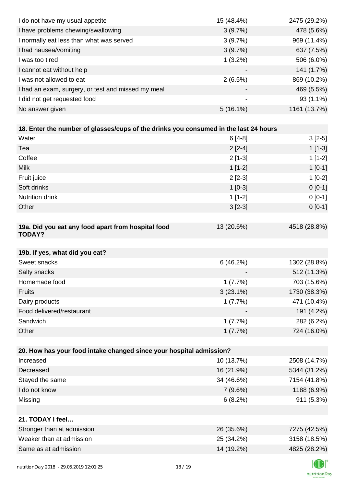| I do not have my usual appetite                                                      | 15 (48.4%)  | 2475 (29.2%) |
|--------------------------------------------------------------------------------------|-------------|--------------|
| I have problems chewing/swallowing                                                   | 3(9.7%)     | 478 (5.6%)   |
| I normally eat less than what was served                                             | 3(9.7%)     | 969 (11.4%)  |
| I had nausea/vomiting                                                                | 3(9.7%)     | 637 (7.5%)   |
| I was too tired                                                                      | $1(3.2\%)$  | 506 (6.0%)   |
| I cannot eat without help                                                            |             | 141 (1.7%)   |
| I was not allowed to eat                                                             | 2(6.5%)     | 869 (10.2%)  |
| I had an exam, surgery, or test and missed my meal                                   |             | 469 (5.5%)   |
| I did not get requested food                                                         |             | 93 (1.1%)    |
| No answer given                                                                      | $5(16.1\%)$ | 1161 (13.7%) |
|                                                                                      |             |              |
| 18. Enter the number of glasses/cups of the drinks you consumed in the last 24 hours |             |              |
| Water                                                                                | $6[4-8]$    | $3[2-5]$     |
| Tea                                                                                  | $2[2-4]$    | $1[1-3]$     |
| Coffee                                                                               | $2[1-3]$    | $1[1-2]$     |
| <b>Milk</b>                                                                          | $1[1-2]$    | $1[0-1]$     |
| Fruit juice                                                                          | $2[2-3]$    | $1[0-2]$     |
| Soft drinks                                                                          | $1[0-3]$    | $0 [0-1]$    |
| Nutrition drink                                                                      | $1[1-2]$    | $0 [0-1]$    |
| Other                                                                                | $3[2-3]$    | $0 [0-1]$    |
|                                                                                      |             |              |
| 19a. Did you eat any food apart from hospital food<br><b>TODAY?</b>                  | 13 (20.6%)  | 4518 (28.8%) |
| 19b. If yes, what did you eat?                                                       |             |              |
| Sweet snacks                                                                         | 6(46.2%)    | 1302 (28.8%) |
| Salty snacks                                                                         |             | 512 (11.3%)  |
| Homemade food                                                                        | 1(7.7%)     | 703 (15.6%)  |
| <b>Fruits</b>                                                                        | $3(23.1\%)$ | 1730 (38.3%) |
| Dairy products                                                                       | 1(7.7%)     | 471 (10.4%)  |
| Food delivered/restaurant                                                            |             | 191 (4.2%)   |
| Sandwich                                                                             | 1(7.7%)     | 282 (6.2%)   |
| Other                                                                                | 1(7.7%)     | 724 (16.0%)  |
|                                                                                      |             |              |
| 20. How has your food intake changed since your hospital admission?                  |             |              |
| Increased                                                                            | 10 (13.7%)  | 2508 (14.7%) |
| Decreased                                                                            | 16 (21.9%)  | 5344 (31.2%) |
| Stayed the same                                                                      | 34 (46.6%)  | 7154 (41.8%) |
| I do not know                                                                        | 7(9.6%)     | 1188 (6.9%)  |
| Missing                                                                              | 6(8.2%)     | 911 (5.3%)   |
|                                                                                      |             |              |
| 21. TODAY I feel                                                                     |             |              |
| Stronger than at admission                                                           | 26 (35.6%)  | 7275 (42.5%) |
| Weaker than at admission                                                             | 25 (34.2%)  | 3158 (18.5%) |
| Same as at admission                                                                 | 14 (19.2%)  | 4825 (28.2%) |
|                                                                                      |             |              |